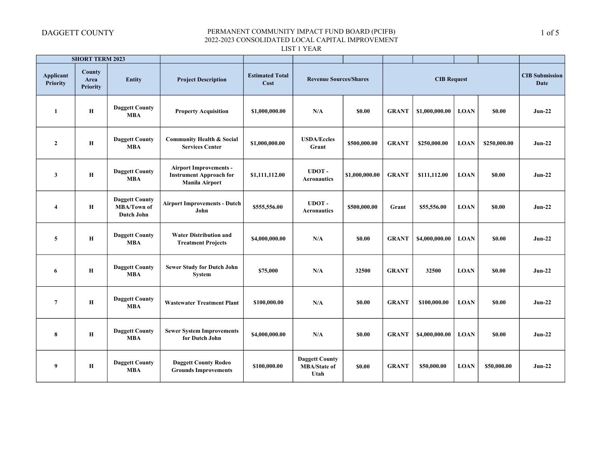|                              | <b>SHORT TERM 2023</b>                   |                                                    |                                                                                          |                                |                                                      |                |              |                    |             |              |                               |
|------------------------------|------------------------------------------|----------------------------------------------------|------------------------------------------------------------------------------------------|--------------------------------|------------------------------------------------------|----------------|--------------|--------------------|-------------|--------------|-------------------------------|
| <b>Applicant</b><br>Priority | <b>County</b><br>Area<br><b>Priority</b> | <b>Entity</b>                                      | <b>Project Description</b>                                                               | <b>Estimated Total</b><br>Cost | <b>Revenue Sources/Shares</b>                        |                |              | <b>CIB Request</b> |             |              | <b>CIB Submission</b><br>Date |
| -1                           | Н                                        | <b>Daggett County</b><br><b>MBA</b>                | <b>Property Acquisition</b>                                                              | \$1,000,000.00                 | N/A                                                  | \$0.00         | <b>GRANT</b> | \$1,000,000.00     | <b>LOAN</b> | \$0.00       | $Jun-22$                      |
| $\overline{2}$               | Н                                        | <b>Daggett County</b><br><b>MBA</b>                | <b>Community Health &amp; Social</b><br><b>Services Center</b>                           | \$1,000,000.00                 | <b>USDA/Eccles</b><br>Grant                          | \$500,000.00   | <b>GRANT</b> | \$250,000.00       | <b>LOAN</b> | \$250,000.00 | $Jun-22$                      |
| $\mathbf{3}$                 | Н                                        | <b>Daggett County</b><br><b>MBA</b>                | <b>Airport Improvements -</b><br><b>Instrument Approach for</b><br><b>Manila Airport</b> | \$1,111,112.00                 | UDOT-<br><b>Aeronautics</b>                          | \$1,000,000.00 | <b>GRANT</b> | \$111,112.00       | <b>LOAN</b> | \$0.00       | $Jun-22$                      |
| $\overline{\mathbf{4}}$      | Н                                        | <b>Daggett County</b><br>MBA/Town of<br>Dutch John | <b>Airport Improvements - Dutch</b><br>John                                              | \$555,556.00                   | UDOT-<br><b>Aeronautics</b>                          | \$500,000.00   | Grant        | \$55,556.00        | <b>LOAN</b> | \$0.00       | $Jun-22$                      |
| 5                            | Н                                        | <b>Daggett County</b><br><b>MBA</b>                | <b>Water Distribution and</b><br><b>Treatment Projects</b>                               | \$4,000,000.00                 | N/A                                                  | \$0.00         | <b>GRANT</b> | \$4,000,000.00     | <b>LOAN</b> | \$0.00       | $Jun-22$                      |
| 6                            | H                                        | <b>Daggett County</b><br><b>MBA</b>                | <b>Sewer Study for Dutch John</b><br>System                                              | \$75,000                       | N/A                                                  | 32500          | <b>GRANT</b> | 32500              | <b>LOAN</b> | \$0.00       | $Jun-22$                      |
| $\overline{7}$               | Н                                        | <b>Daggett County</b><br><b>MBA</b>                | <b>Wastewater Treatment Plant</b>                                                        | \$100,000.00                   | N/A                                                  | \$0.00         | <b>GRANT</b> | \$100,000.00       | <b>LOAN</b> | \$0.00       | $Jun-22$                      |
| 8                            | Н                                        | <b>Daggett County</b><br><b>MBA</b>                | <b>Sewer System Improvements</b><br>for Dutch John                                       | \$4,000,000.00                 | N/A                                                  | \$0.00         | <b>GRANT</b> | \$4,000,000.00     | <b>LOAN</b> | \$0.00       | $Jun-22$                      |
| 9                            | Н                                        | <b>Daggett County</b><br><b>MBA</b>                | <b>Daggett County Rodeo</b><br><b>Grounds Improvements</b>                               | \$100,000.00                   | <b>Daggett County</b><br><b>MBA/State of</b><br>Utah | \$0.00         | <b>GRANT</b> | \$50,000.00        | <b>LOAN</b> | \$50,000.00  | $Jun-22$                      |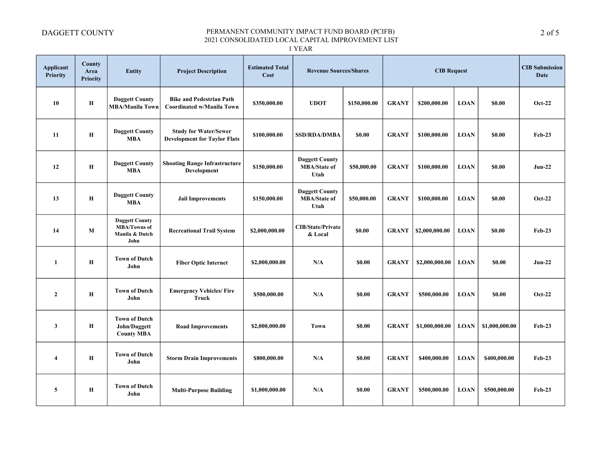1 YEAR

| <b>Applicant</b><br><b>Priority</b> | County<br>Area<br><b>Priority</b> | <b>Entity</b>                                                          | <b>Project Description</b>                                          | <b>Estimated Total</b><br>Cost | <b>Revenue Sources/Shares</b>                        |              | <b>CIB Request</b> |                |             | <b>CIB</b> Submission<br><b>Date</b> |               |
|-------------------------------------|-----------------------------------|------------------------------------------------------------------------|---------------------------------------------------------------------|--------------------------------|------------------------------------------------------|--------------|--------------------|----------------|-------------|--------------------------------------|---------------|
| 10                                  | H                                 | <b>Daggett County</b><br><b>MBA/Manila Town</b>                        | <b>Bike and Pedestrian Path</b><br><b>Coordinated w/Manila Town</b> | \$350,000.00                   | <b>UDOT</b>                                          | \$150,000.00 | <b>GRANT</b>       | \$200,000.00   | <b>LOAN</b> | \$0.00                               | <b>Oct-22</b> |
| 11                                  | Н                                 | <b>Daggett County</b><br><b>MBA</b>                                    | <b>Study for Water/Sewer</b><br><b>Development for Taylor Flats</b> | \$100,000.00                   | <b>SSD/RDA/DMBA</b>                                  | \$0.00       | <b>GRANT</b>       | \$100,000.00   | <b>LOAN</b> | \$0.00                               | $Feb-23$      |
| 12                                  | $\mathbf H$                       | <b>Daggett County</b><br><b>MBA</b>                                    | <b>Shooting Range Infrastructure</b><br>Development                 | \$150,000.00                   | <b>Daggett County</b><br><b>MBA/State of</b><br>Utah | \$50,000.00  | <b>GRANT</b>       | \$100,000.00   | <b>LOAN</b> | \$0.00                               | $Jun-22$      |
| 13                                  | H                                 | <b>Daggett County</b><br><b>MBA</b>                                    | <b>Jail Improvements</b>                                            | \$150,000.00                   | <b>Daggett County</b><br><b>MBA/State of</b><br>Utah | \$50,000.00  | <b>GRANT</b>       | \$100,000.00   | <b>LOAN</b> | \$0.00                               | Oct-22        |
| 14                                  | M                                 | <b>Daggett County</b><br><b>MBA/Towns of</b><br>Manila & Dutch<br>John | <b>Recreational Trail System</b>                                    | \$2,000,000.00                 | <b>CIB/State/Private</b><br>& Local                  | \$0.00       | <b>GRANT</b>       | \$2,000,000.00 | <b>LOAN</b> | <b>SO.00</b>                         | $Feb-23$      |
| 1                                   | Н                                 | <b>Town of Dutch</b><br>John                                           | <b>Fiber Optic Internet</b>                                         | \$2,000,000.00                 | N/A                                                  | \$0.00       | <b>GRANT</b>       | \$2,000,000.00 | <b>LOAN</b> | \$0.00                               | $Jun-22$      |
| $\mathbf{2}$                        | H                                 | <b>Town of Dutch</b><br>John                                           | <b>Emergency Vehicles/ Fire</b><br>Truck                            | \$500,000.00                   | N/A                                                  | \$0.00       | <b>GRANT</b>       | \$500,000.00   | <b>LOAN</b> | \$0.00                               | $Oct-22$      |
| $\mathbf{3}$                        | Н                                 | <b>Town of Dutch</b><br>John/Daggett<br><b>County MBA</b>              | <b>Road Improvements</b>                                            | \$2,000,000.00                 | <b>Town</b>                                          | \$0.00       | <b>GRANT</b>       | \$1,000,000.00 | <b>LOAN</b> | \$1,000,000.00                       | Feb-23        |
| $\overline{\mathbf{4}}$             | Н                                 | <b>Town of Dutch</b><br>John                                           | <b>Storm Drain Improvements</b>                                     | \$800,000.00                   | N/A                                                  | \$0.00       | <b>GRANT</b>       | \$400,000.00   | <b>LOAN</b> | \$400,000.00                         | $Feb-23$      |
| 5                                   | Н                                 | <b>Town of Dutch</b><br>John                                           | <b>Multi-Purpose Building</b>                                       | \$1,000,000.00                 | N/A                                                  | \$0.00       | <b>GRANT</b>       | \$500,000.00   | <b>LOAN</b> | \$500,000.00                         | $Feb-23$      |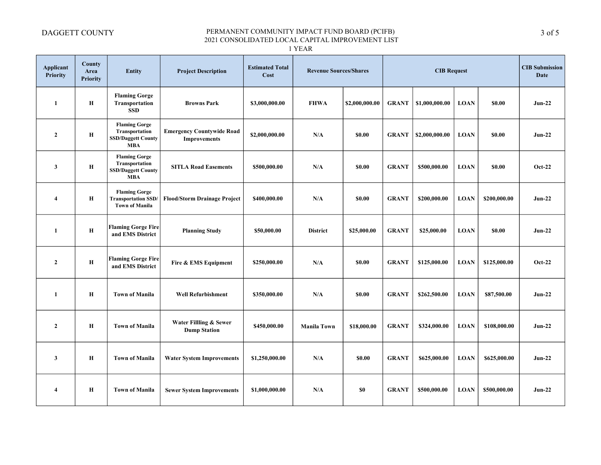1 YEAR

| <b>Applicant</b><br><b>Priority</b> | County<br>Area<br><b>Priority</b> | <b>Entity</b>                                                                     | <b>Project Description</b>                              | <b>Estimated Total</b><br>Cost |                    | <b>Revenue Sources/Shares</b><br><b>CIB Request</b> |              |                |             | <b>CIB</b> Submission<br><b>Date</b> |          |
|-------------------------------------|-----------------------------------|-----------------------------------------------------------------------------------|---------------------------------------------------------|--------------------------------|--------------------|-----------------------------------------------------|--------------|----------------|-------------|--------------------------------------|----------|
| $\mathbf{1}$                        | H                                 | <b>Flaming Gorge</b><br>Transportation<br><b>SSD</b>                              | <b>Browns Park</b>                                      | \$3,000,000.00                 | <b>FHWA</b>        | \$2,000,000.00                                      | <b>GRANT</b> | \$1,000,000.00 | <b>LOAN</b> | \$0.00                               | $Jun-22$ |
| $\mathbf{2}$                        | Н                                 | <b>Flaming Gorge</b><br>Transportation<br><b>SSD/Daggett County</b><br><b>MBA</b> | <b>Emergency Countywide Road</b><br><b>Improvements</b> | \$2,000,000.00                 | N/A                | \$0.00                                              | <b>GRANT</b> | \$2,000,000.00 | <b>LOAN</b> | \$0.00                               | $Jun-22$ |
| $\mathbf{3}$                        | $\mathbf H$                       | <b>Flaming Gorge</b><br>Transportation<br><b>SSD/Daggett County</b><br><b>MBA</b> | <b>SITLA Road Easements</b>                             | \$500,000.00                   | N/A                | \$0.00                                              | <b>GRANT</b> | \$500,000.00   | <b>LOAN</b> | \$0.00                               | $Oct-22$ |
| $\overline{\mathbf{4}}$             | Н                                 | <b>Flaming Gorge</b><br><b>Transportation SSD</b><br><b>Town of Manila</b>        | <b>Flood/Storm Drainage Project</b>                     | \$400,000.00                   | N/A                | \$0.00                                              | <b>GRANT</b> | \$200,000.00   | <b>LOAN</b> | \$200,000.00                         | $Jun-22$ |
| 1                                   | H                                 | <b>Flaming Gorge Fire</b><br>and EMS District                                     | <b>Planning Study</b>                                   | \$50,000.00                    | <b>District</b>    | \$25,000.00                                         | <b>GRANT</b> | \$25,000.00    | <b>LOAN</b> | \$0.00                               | $Jun-22$ |
| $\overline{2}$                      | Н                                 | <b>Flaming Gorge Fire</b><br>and EMS District                                     | Fire & EMS Equipment                                    | \$250,000.00                   | N/A                | \$0.00                                              | <b>GRANT</b> | \$125,000.00   | <b>LOAN</b> | \$125,000.00                         | $Oct-22$ |
| $\mathbf{1}$                        | Н                                 | <b>Town of Manila</b>                                                             | <b>Well Refurbishment</b>                               | \$350,000.00                   | N/A                | \$0.00                                              | <b>GRANT</b> | \$262,500.00   | <b>LOAN</b> | \$87,500.00                          | $Jun-22$ |
| $\mathbf{2}$                        | Н                                 | <b>Town of Manila</b>                                                             | Water Fillling & Sewer<br><b>Dump Station</b>           | \$450,000.00                   | <b>Manila Town</b> | \$18,000.00                                         | <b>GRANT</b> | \$324,000.00   | <b>LOAN</b> | \$108,000.00                         | $Jun-22$ |
| 3                                   | Н                                 | <b>Town of Manila</b>                                                             | <b>Water System Improvements</b>                        | \$1,250,000.00                 | N/A                | \$0.00                                              | <b>GRANT</b> | \$625,000.00   | <b>LOAN</b> | \$625,000.00                         | $Jun-22$ |
| $\overline{4}$                      | Н                                 | <b>Town of Manila</b>                                                             | <b>Sewer System Improvements</b>                        | \$1,000,000.00                 | N/A                | \$0                                                 | <b>GRANT</b> | \$500,000.00   | <b>LOAN</b> | \$500,000.00                         | $Jun-22$ |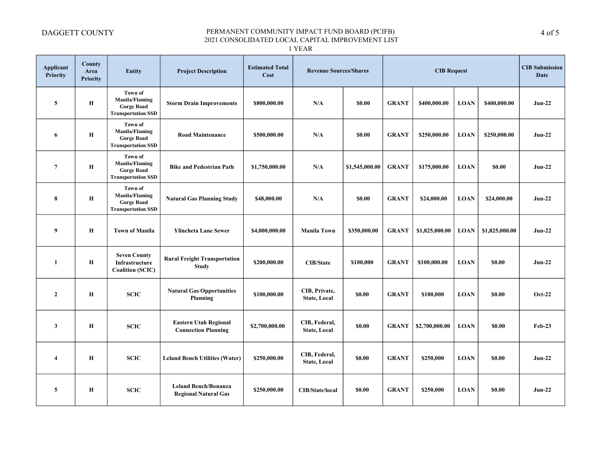1 YEAR

| <b>Applicant</b><br>Priority | County<br>Area<br><b>Priority</b> | <b>Entity</b>                                                                      | <b>Project Description</b>                                 | <b>Estimated Total</b><br>Cost | <b>Revenue Sources/Shares</b>        | <b>CIB Request</b> |              |                |             | <b>CIB</b> Submission<br>Date |               |
|------------------------------|-----------------------------------|------------------------------------------------------------------------------------|------------------------------------------------------------|--------------------------------|--------------------------------------|--------------------|--------------|----------------|-------------|-------------------------------|---------------|
| 5                            | Н                                 | Town of<br><b>Manila/Flaming</b><br><b>Gorge Road</b><br><b>Transportation SSD</b> | <b>Storm Drain Improvements</b>                            | \$800,000.00                   | N/A                                  | <b>SO.00</b>       | <b>GRANT</b> | \$400,000.00   | <b>LOAN</b> | \$400,000.00                  | $Jun-22$      |
| 6                            | Н                                 | Town of<br><b>Manila/Flaming</b><br><b>Gorge Road</b><br><b>Transportation SSD</b> | <b>Road Maintenance</b>                                    | \$500,000.00                   | N/A                                  | <b>SO.00</b>       | <b>GRANT</b> | \$250,000.00   | <b>LOAN</b> | \$250,000.00                  | $Jun-22$      |
| $\overline{7}$               | Н                                 | Town of<br>Manila/Flaming<br><b>Gorge Road</b><br><b>Transportation SSD</b>        | <b>Bike and Pedestrian Path</b>                            | \$1,750,000.00                 | N/A                                  | \$1,545,000.00     | <b>GRANT</b> | \$175,000.00   | <b>LOAN</b> | \$0.00                        | $Jun-22$      |
| 8                            | Н                                 | Town of<br><b>Manila/Flaming</b><br><b>Gorge Road</b><br><b>Transportation SSD</b> | <b>Natural Gas Planning Study</b>                          | \$48,000.00                    | N/A                                  | \$0.00             | <b>GRANT</b> | \$24,000.00    | <b>LOAN</b> | \$24,000.00                   | $Jun-22$      |
| 9                            | Н                                 | <b>Town of Manila</b>                                                              | <b>Ylincheta Lane Sewer</b>                                | \$4,000,000.00                 | <b>Manila Town</b>                   | \$350,000.00       | <b>GRANT</b> | \$1,825,000.00 | <b>LOAN</b> | \$1,825,000.00                | $Jun-22$      |
| 1                            | $\mathbf H$                       | <b>Seven County</b><br>Infrastructure<br><b>Coalition (SCIC)</b>                   | <b>Rural Freight Transportation</b><br><b>Study</b>        | \$200,000.00                   | <b>CIB/State</b>                     | \$100,000          | <b>GRANT</b> | \$100,000.00   | <b>LOAN</b> | \$0.00                        | $Jun-22$      |
| $\overline{2}$               | $\mathbf H$                       | <b>SCIC</b>                                                                        | <b>Natural Gas Opportunities</b><br>Planning               | \$100,000.00                   | CIB, Private,<br><b>State, Local</b> | \$0.00             | <b>GRANT</b> | \$100,000      | <b>LOAN</b> | \$0.00                        | <b>Oct-22</b> |
| $\mathbf{3}$                 | Н                                 | <b>SCIC</b>                                                                        | <b>Eastern Utah Regional</b><br><b>Connection Planning</b> | \$2,700,000.00                 | CIB, Federal,<br><b>State, Local</b> | \$0.00             | <b>GRANT</b> | \$2,700,000.00 | <b>LOAN</b> | \$0.00                        | Feb-23        |
| $\overline{\bf{4}}$          | Н                                 | <b>SCIC</b>                                                                        | <b>Leland Bench Utilities (Water)</b>                      | \$250,000.00                   | CIB, Federal,<br><b>State, Local</b> | \$0.00             | <b>GRANT</b> | \$250,000      | <b>LOAN</b> | \$0.00                        | $Jun-22$      |
| 5                            | Н                                 | <b>SCIC</b>                                                                        | <b>Leland Bench/Bonanza</b><br><b>Regional Natural Gas</b> | \$250,000.00                   | <b>CIB/State/local</b>               | \$0.00             | <b>GRANT</b> | \$250,000      | <b>LOAN</b> | \$0.00                        | $Jun-22$      |

4 of 5